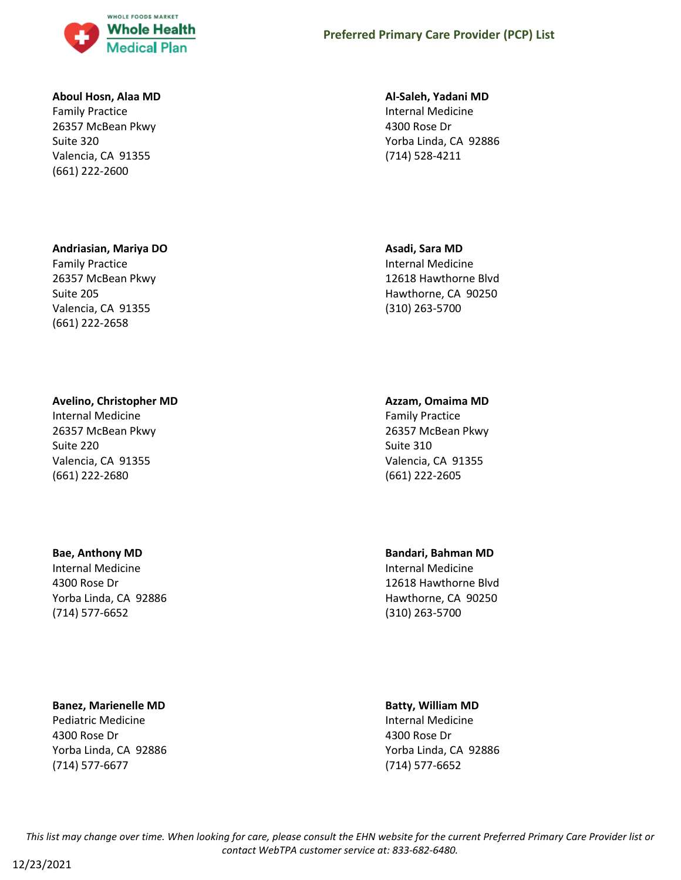

#### **Aboul Hosn, Alaa MD**

Family Practice 26357 McBean Pkwy Suite 320 Valencia, CA 91355 (661) 222-2600

### **Andriasian, Mariya DO**

Family Practice 26357 McBean Pkwy Suite 205 Valencia, CA 91355 (661) 222-2658

#### **Avelino, Christopher MD**

Internal Medicine 26357 McBean Pkwy Suite 220 Valencia, CA 91355 (661) 222-2680

#### **Bae, Anthony MD**

Internal Medicine 4300 Rose Dr Yorba Linda, CA 92886 (714) 577-6652

### **Banez, Marienelle MD**

Pediatric Medicine 4300 Rose Dr Yorba Linda, CA 92886 (714) 577-6677

#### **Al-Saleh, Yadani MD**

Internal Medicine 4300 Rose Dr Yorba Linda, CA 92886 (714) 528-4211

#### **Asadi, Sara MD**

Internal Medicine 12618 Hawthorne Blvd Hawthorne, CA 90250 (310) 263-5700

#### **Azzam, Omaima MD**

Family Practice 26357 McBean Pkwy Suite 310 Valencia, CA 91355 (661) 222-2605

**Bandari, Bahman MD**

Internal Medicine 12618 Hawthorne Blvd Hawthorne, CA 90250 (310) 263-5700

# **Batty, William MD**

Internal Medicine 4300 Rose Dr Yorba Linda, CA 92886 (714) 577-6652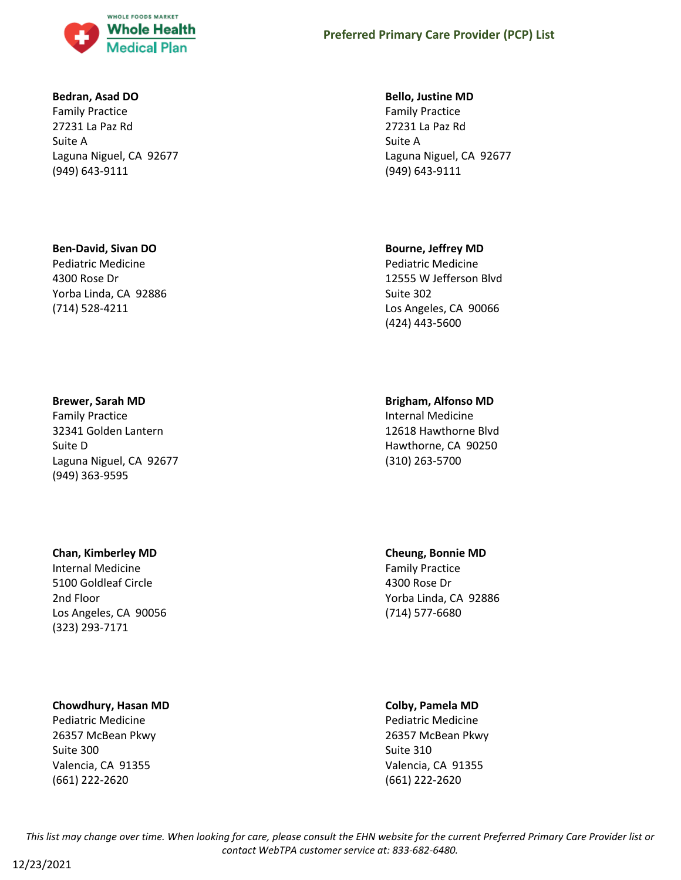

#### **Bedran, Asad DO**

Family Practice 27231 La Paz Rd Suite A Laguna Niguel, CA 92677 (949) 643-9111

### **Ben-David, Sivan DO**

Pediatric Medicine 4300 Rose Dr Yorba Linda, CA 92886 (714) 528-4211

**Brewer, Sarah MD**

Family Practice 32341 Golden Lantern Suite D Laguna Niguel, CA 92677 (949) 363-9595

### **Chan, Kimberley MD**

Internal Medicine 5100 Goldleaf Circle 2nd Floor Los Angeles, CA 90056 (323) 293-7171

## **Chowdhury, Hasan MD**

Pediatric Medicine 26357 McBean Pkwy Suite 300 Valencia, CA 91355 (661) 222-2620

### **Bello, Justine MD**

Family Practice 27231 La Paz Rd Suite A Laguna Niguel, CA 92677 (949) 643-9111

### **Bourne, Jeffrey MD**

Pediatric Medicine 12555 W Jefferson Blvd Suite 302 Los Angeles, CA 90066 (424) 443-5600

# **Brigham, Alfonso MD**

Internal Medicine 12618 Hawthorne Blvd Hawthorne, CA 90250 (310) 263-5700

# **Cheung, Bonnie MD**

Family Practice 4300 Rose Dr Yorba Linda, CA 92886 (714) 577-6680

### **Colby, Pamela MD**

Pediatric Medicine 26357 McBean Pkwy Suite 310 Valencia, CA 91355 (661) 222-2620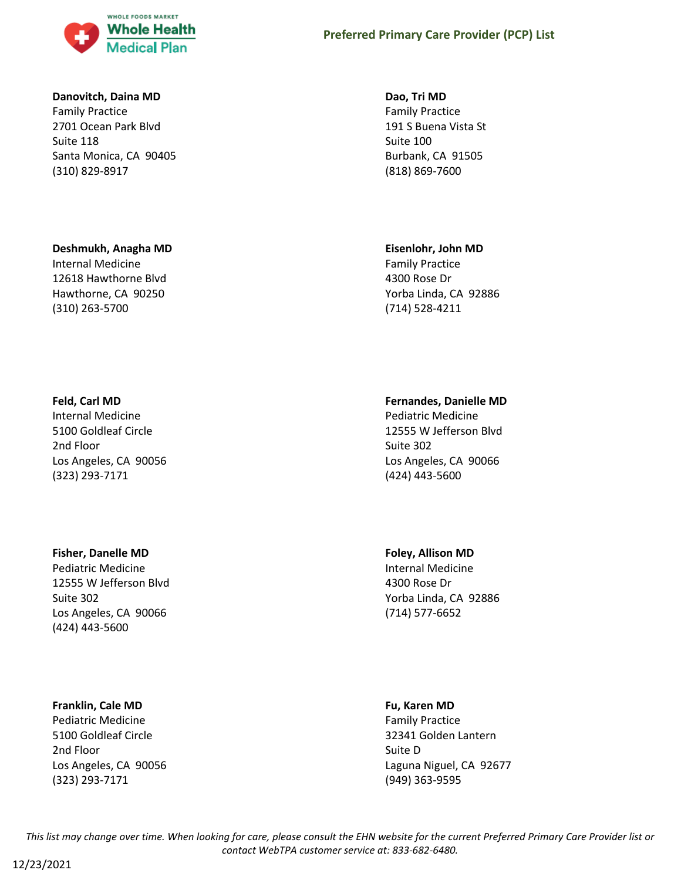

#### **Danovitch, Daina MD**

Family Practice 2701 Ocean Park Blvd Suite 118 Santa Monica, CA 90405 (310) 829-8917

#### **Deshmukh, Anagha MD**

Internal Medicine 12618 Hawthorne Blvd Hawthorne, CA 90250 (310) 263-5700

# **Dao, Tri MD**

Family Practice 191 S Buena Vista St Suite 100 Burbank, CA 91505 (818) 869-7600

#### **Eisenlohr, John MD**

Family Practice 4300 Rose Dr Yorba Linda, CA 92886 (714) 528-4211

### **Feld, Carl MD**

Internal Medicine 5100 Goldleaf Circle 2nd Floor Los Angeles, CA 90056 (323) 293-7171

#### **Fisher, Danelle MD**

Pediatric Medicine 12555 W Jefferson Blvd Suite 302 Los Angeles, CA 90066 (424) 443-5600

#### **Franklin, Cale MD**

Pediatric Medicine 5100 Goldleaf Circle 2nd Floor Los Angeles, CA 90056 (323) 293-7171

### **Fernandes, Danielle MD**

Pediatric Medicine 12555 W Jefferson Blvd Suite 302 Los Angeles, CA 90066 (424) 443-5600

#### **Foley, Allison MD**

Internal Medicine 4300 Rose Dr Yorba Linda, CA 92886 (714) 577-6652

#### **Fu, Karen MD**

Family Practice 32341 Golden Lantern Suite D Laguna Niguel, CA 92677 (949) 363-9595

*This list may change over time. When looking for care, please consult the EHN website for the current Preferred Primary Care Provider list or contact WebTPA customer service at: 833-682-6480.*

12/23/2021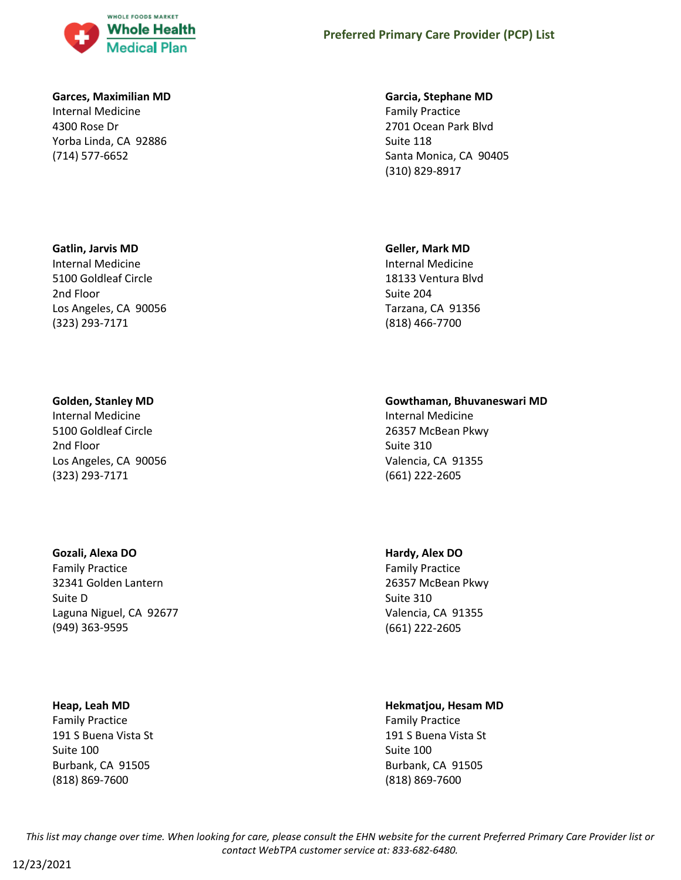

## **Garces, Maximilian MD**

Internal Medicine 4300 Rose Dr Yorba Linda, CA 92886 (714) 577-6652

# **Gatlin, Jarvis MD**

Internal Medicine 5100 Goldleaf Circle 2nd Floor Los Angeles, CA 90056 (323) 293-7171

### **Golden, Stanley MD**

Internal Medicine 5100 Goldleaf Circle 2nd Floor Los Angeles, CA 90056 (323) 293-7171

### **Gozali, Alexa DO**

Family Practice 32341 Golden Lantern Suite D Laguna Niguel, CA 92677 (949) 363-9595

#### **Heap, Leah MD**

Family Practice 191 S Buena Vista St Suite 100 Burbank, CA 91505 (818) 869-7600

#### **Garcia, Stephane MD**

Family Practice 2701 Ocean Park Blvd Suite 118 Santa Monica, CA 90405 (310) 829-8917

#### **Geller, Mark MD**

Internal Medicine 18133 Ventura Blvd Suite 204 Tarzana, CA 91356 (818) 466-7700

### **Gowthaman, Bhuvaneswari MD**

Internal Medicine 26357 McBean Pkwy Suite 310 Valencia, CA 91355 (661) 222-2605

### **Hardy, Alex DO**

Family Practice 26357 McBean Pkwy Suite 310 Valencia, CA 91355 (661) 222-2605

# **Hekmatjou, Hesam MD**

Family Practice 191 S Buena Vista St Suite 100 Burbank, CA 91505 (818) 869-7600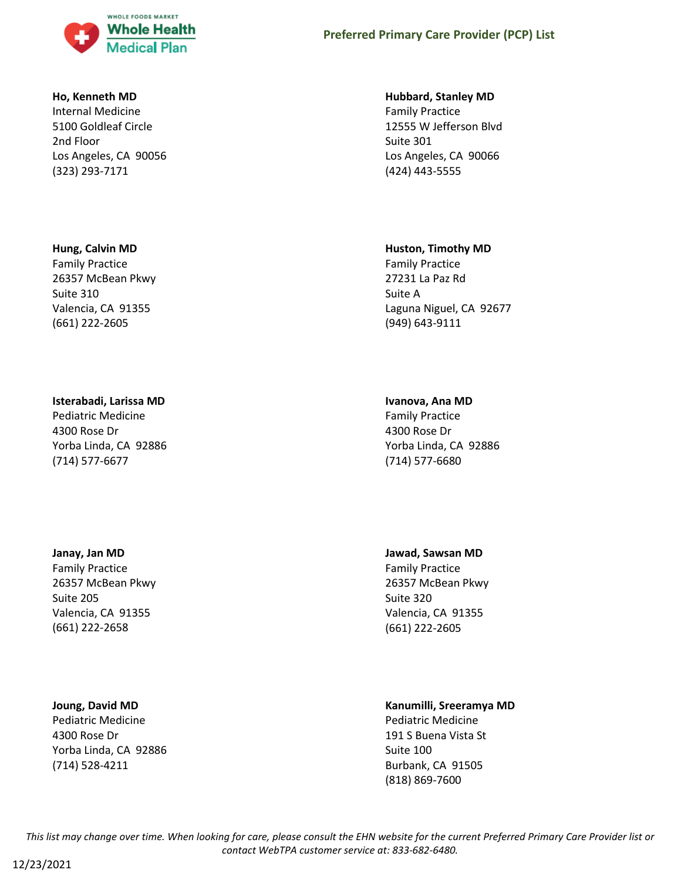

#### **Ho, Kenneth MD**

Internal Medicine 5100 Goldleaf Circle 2nd Floor Los Angeles, CA 90056 (323) 293-7171

#### **Hung, Calvin MD**

Family Practice 26357 McBean Pkwy Suite 310 Valencia, CA 91355 (661) 222-2605

#### **Isterabadi, Larissa MD**

Pediatric Medicine 4300 Rose Dr Yorba Linda, CA 92886 (714) 577-6677

#### **Janay, Jan MD**

Family Practice 26357 McBean Pkwy Suite 205 Valencia, CA 91355 (661) 222-2658

#### **Joung, David MD**

Pediatric Medicine 4300 Rose Dr Yorba Linda, CA 92886 (714) 528-4211

#### **Hubbard, Stanley MD**

Family Practice 12555 W Jefferson Blvd Suite 301 Los Angeles, CA 90066 (424) 443-5555

#### **Huston, Timothy MD**

Family Practice 27231 La Paz Rd Suite A Laguna Niguel, CA 92677 (949) 643-9111

#### **Ivanova, Ana MD**

Family Practice 4300 Rose Dr Yorba Linda, CA 92886 (714) 577-6680

#### **Jawad, Sawsan MD**

Family Practice 26357 McBean Pkwy Suite 320 Valencia, CA 91355 (661) 222-2605

#### **Kanumilli, Sreeramya MD** Pediatric Medicine

191 S Buena Vista St Suite 100 Burbank, CA 91505 (818) 869-7600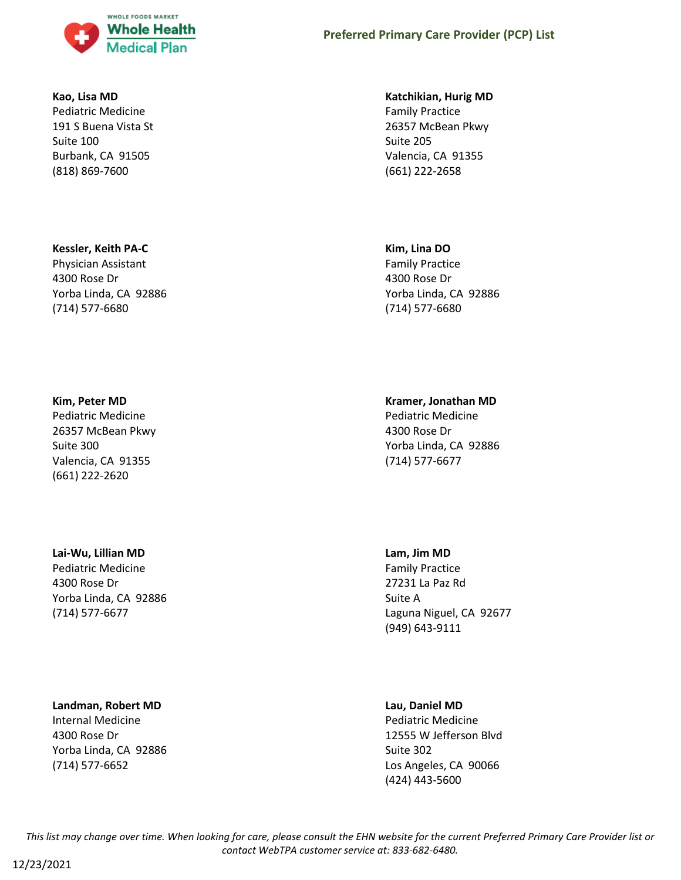

#### **Kao, Lisa MD**

Pediatric Medicine 191 S Buena Vista St Suite 100 Burbank, CA 91505 (818) 869-7600

### **Kessler, Keith PA-C**

Physician Assistant 4300 Rose Dr Yorba Linda, CA 92886 (714) 577-6680

#### **Kim, Peter MD**

Pediatric Medicine 26357 McBean Pkwy Suite 300 Valencia, CA 91355 (661) 222-2620

### **Lai-Wu, Lillian MD**

Pediatric Medicine 4300 Rose Dr Yorba Linda, CA 92886 (714) 577-6677

### **Landman, Robert MD**

Internal Medicine 4300 Rose Dr Yorba Linda, CA 92886 (714) 577-6652

#### **Katchikian, Hurig MD**

Family Practice 26357 McBean Pkwy Suite 205 Valencia, CA 91355 (661) 222-2658

#### **Kim, Lina DO**

Family Practice 4300 Rose Dr Yorba Linda, CA 92886 (714) 577-6680

### **Kramer, Jonathan MD**

Pediatric Medicine 4300 Rose Dr Yorba Linda, CA 92886 (714) 577-6677

### **Lam, Jim MD**

Family Practice 27231 La Paz Rd Suite A Laguna Niguel, CA 92677 (949) 643-9111

#### **Lau, Daniel MD**

Pediatric Medicine 12555 W Jefferson Blvd Suite 302 Los Angeles, CA 90066 (424) 443-5600

*This list may change over time. When looking for care, please consult the EHN website for the current Preferred Primary Care Provider list or contact WebTPA customer service at: 833-682-6480.*

12/23/2021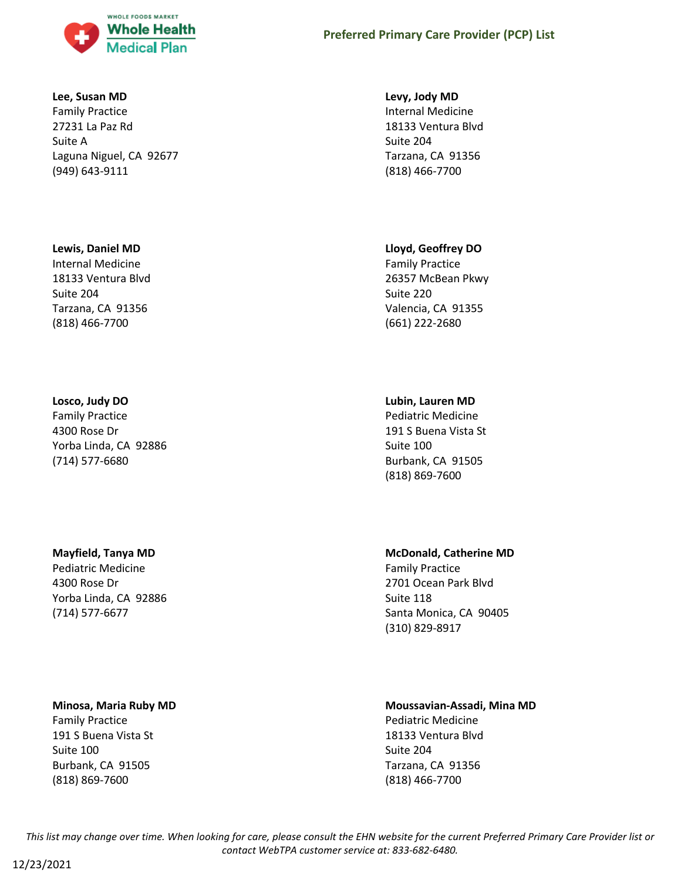

#### **Lee, Susan MD**

Family Practice 27231 La Paz Rd Suite A Laguna Niguel, CA 92677 (949) 643-9111

### **Lewis, Daniel MD**

Internal Medicine 18133 Ventura Blvd Suite 204 Tarzana, CA 91356 (818) 466-7700

# **Losco, Judy DO**

Family Practice 4300 Rose Dr Yorba Linda, CA 92886 (714) 577-6680

# **Mayfield, Tanya MD**

Pediatric Medicine 4300 Rose Dr Yorba Linda, CA 92886 (714) 577-6677

### **Minosa, Maria Ruby MD**

Family Practice 191 S Buena Vista St Suite 100 Burbank, CA 91505 (818) 869-7600

### **Levy, Jody MD**

Internal Medicine 18133 Ventura Blvd Suite 204 Tarzana, CA 91356 (818) 466-7700

# **Lloyd, Geoffrey DO**

Family Practice 26357 McBean Pkwy Suite 220 Valencia, CA 91355 (661) 222-2680

# **Lubin, Lauren MD**

Pediatric Medicine 191 S Buena Vista St Suite 100 Burbank, CA 91505 (818) 869-7600

# **McDonald, Catherine MD**

Family Practice 2701 Ocean Park Blvd Suite 118 Santa Monica, CA 90405 (310) 829-8917

#### **Moussavian-Assadi, Mina MD** Pediatric Medicine

18133 Ventura Blvd Suite 204 Tarzana, CA 91356 (818) 466-7700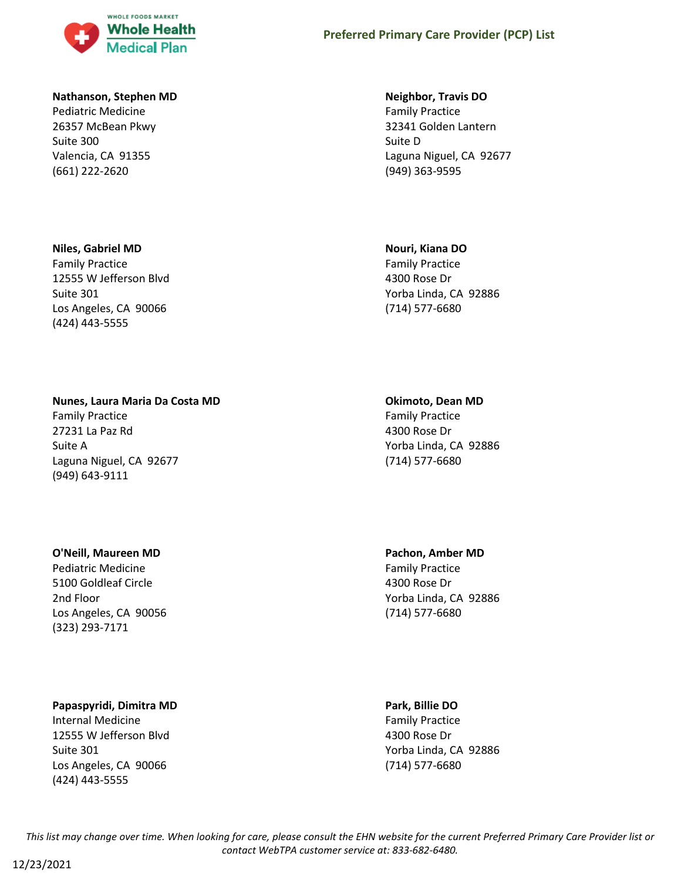

#### **Nathanson, Stephen MD**

Pediatric Medicine 26357 McBean Pkwy Suite 300 Valencia, CA 91355 (661) 222-2620

### **Niles, Gabriel MD**

Family Practice 12555 W Jefferson Blvd Suite 301 Los Angeles, CA 90066 (424) 443-5555

#### **Neighbor, Travis DO**

Family Practice 32341 Golden Lantern Suite D Laguna Niguel, CA 92677 (949) 363-9595

#### **Nouri, Kiana DO**

Family Practice 4300 Rose Dr Yorba Linda, CA 92886 (714) 577-6680

# **Nunes, Laura Maria Da Costa MD**

Family Practice 27231 La Paz Rd Suite A Laguna Niguel, CA 92677 (949) 643-9111

#### **Okimoto, Dean MD**

Family Practice 4300 Rose Dr Yorba Linda, CA 92886 (714) 577-6680

### **O'Neill, Maureen MD**

Pediatric Medicine 5100 Goldleaf Circle 2nd Floor Los Angeles, CA 90056 (323) 293-7171

# **Papaspyridi, Dimitra MD**

Internal Medicine 12555 W Jefferson Blvd Suite 301 Los Angeles, CA 90066 (424) 443-5555

# **Pachon, Amber MD**

Family Practice 4300 Rose Dr Yorba Linda, CA 92886 (714) 577-6680

### **Park, Billie DO**

Family Practice 4300 Rose Dr Yorba Linda, CA 92886 (714) 577-6680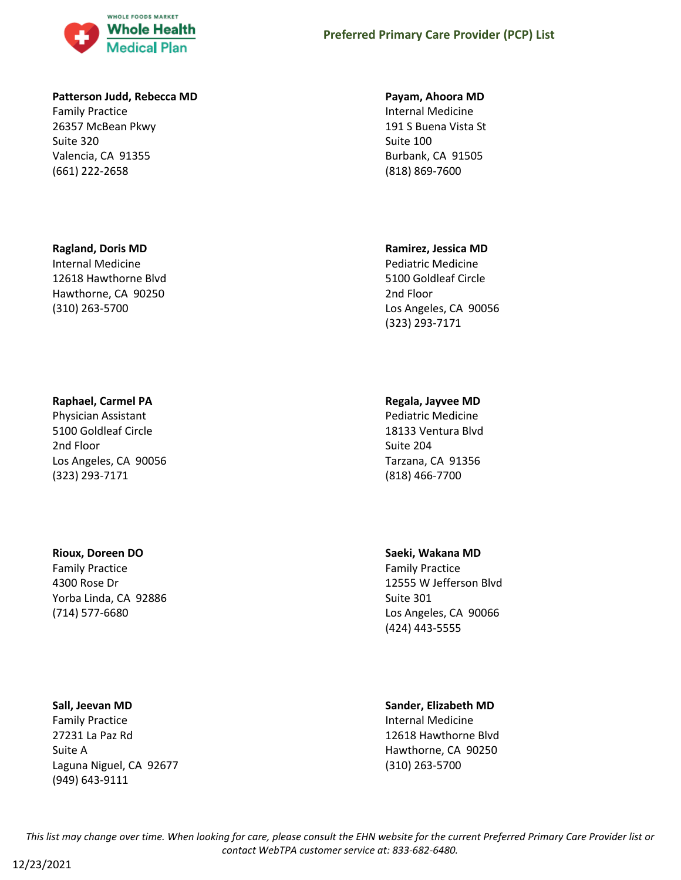

#### **Patterson Judd, Rebecca MD**

Family Practice 26357 McBean Pkwy Suite 320 Valencia, CA 91355 (661) 222-2658

### **Ragland, Doris MD**

Internal Medicine 12618 Hawthorne Blvd Hawthorne, CA 90250 (310) 263-5700

# **Raphael, Carmel PA**

Physician Assistant 5100 Goldleaf Circle 2nd Floor Los Angeles, CA 90056 (323) 293-7171

# **Rioux, Doreen DO**

Family Practice 4300 Rose Dr Yorba Linda, CA 92886 (714) 577-6680

### **Sall, Jeevan MD**

Family Practice 27231 La Paz Rd Suite A Laguna Niguel, CA 92677 (949) 643-9111

#### **Payam, Ahoora MD**

Internal Medicine 191 S Buena Vista St Suite 100 Burbank, CA 91505 (818) 869-7600

# **Ramirez, Jessica MD**

Pediatric Medicine 5100 Goldleaf Circle 2nd Floor Los Angeles, CA 90056 (323) 293-7171

# **Regala, Jayvee MD**

Pediatric Medicine 18133 Ventura Blvd Suite 204 Tarzana, CA 91356 (818) 466-7700

# **Saeki, Wakana MD**

Family Practice 12555 W Jefferson Blvd Suite 301 Los Angeles, CA 90066 (424) 443-5555

### **Sander, Elizabeth MD**

Internal Medicine 12618 Hawthorne Blvd Hawthorne, CA 90250 (310) 263-5700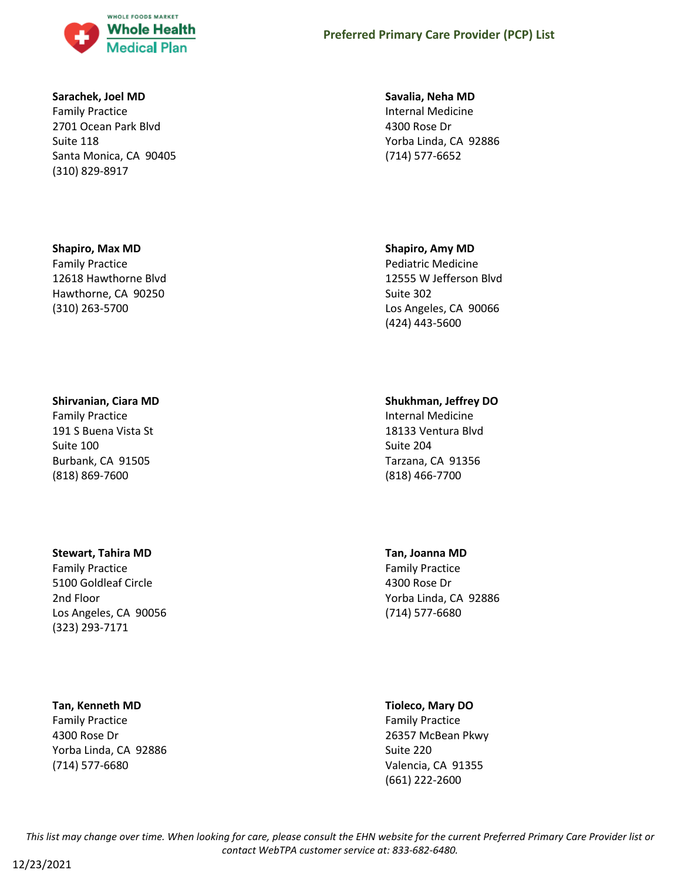

#### **Sarachek, Joel MD**

Family Practice 2701 Ocean Park Blvd Suite 118 Santa Monica, CA 90405 (310) 829-8917

#### **Shapiro, Max MD**

Family Practice 12618 Hawthorne Blvd Hawthorne, CA 90250 (310) 263-5700

#### **Shirvanian, Ciara MD**

Family Practice 191 S Buena Vista St Suite 100 Burbank, CA 91505 (818) 869-7600

#### **Stewart, Tahira MD**

Family Practice 5100 Goldleaf Circle 2nd Floor Los Angeles, CA 90056 (323) 293-7171

### **Tan, Kenneth MD**

Family Practice 4300 Rose Dr Yorba Linda, CA 92886 (714) 577-6680

#### **Savalia, Neha MD**

Internal Medicine 4300 Rose Dr Yorba Linda, CA 92886 (714) 577-6652

#### **Shapiro, Amy MD**

Pediatric Medicine 12555 W Jefferson Blvd Suite 302 Los Angeles, CA 90066 (424) 443-5600

# **Shukhman, Jeffrey DO**

Internal Medicine 18133 Ventura Blvd Suite 204 Tarzana, CA 91356 (818) 466-7700

#### **Tan, Joanna MD**

Family Practice 4300 Rose Dr Yorba Linda, CA 92886 (714) 577-6680

# **Tioleco, Mary DO**

Family Practice 26357 McBean Pkwy Suite 220 Valencia, CA 91355 (661) 222-2600